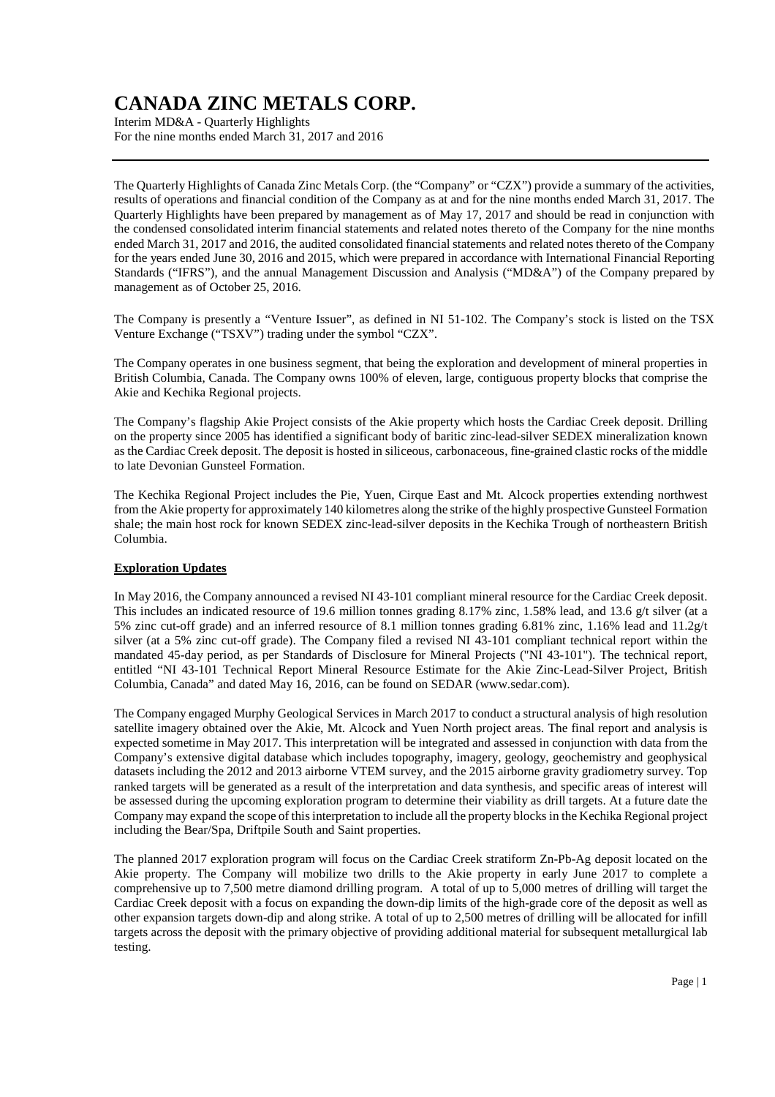Interim MD&A - Quarterly Highlights For the nine months ended March 31, 2017 and 2016

The Quarterly Highlights of Canada Zinc Metals Corp. (the "Company" or "CZX") provide a summary of the activities, results of operations and financial condition of the Company as at and for the nine months ended March 31, 2017. The Quarterly Highlights have been prepared by management as of May 17, 2017 and should be read in conjunction with the condensed consolidated interim financial statements and related notes thereto of the Company for the nine months ended March 31, 2017 and 2016, the audited consolidated financial statements and related notes thereto of the Company for the years ended June 30, 2016 and 2015, which were prepared in accordance with International Financial Reporting Standards ("IFRS"), and the annual Management Discussion and Analysis ("MD&A") of the Company prepared by management as of October 25, 2016.

The Company is presently a "Venture Issuer", as defined in NI 51-102. The Company's stock is listed on the TSX Venture Exchange ("TSXV") trading under the symbol "CZX".

The Company operates in one business segment, that being the exploration and development of mineral properties in British Columbia, Canada. The Company owns 100% of eleven, large, contiguous property blocks that comprise the Akie and Kechika Regional projects.

The Company's flagship Akie Project consists of the Akie property which hosts the Cardiac Creek deposit. Drilling on the property since 2005 has identified a significant body of baritic zinc-lead-silver SEDEX mineralization known as the Cardiac Creek deposit. The deposit is hosted in siliceous, carbonaceous, fine-grained clastic rocks of the middle to late Devonian Gunsteel Formation.

The Kechika Regional Project includes the Pie, Yuen, Cirque East and Mt. Alcock properties extending northwest from the Akie property for approximately 140 kilometres along the strike of the highly prospective Gunsteel Formation shale; the main host rock for known SEDEX zinc-lead-silver deposits in the Kechika Trough of northeastern British Columbia.

## **Exploration Updates**

In May 2016, the Company announced a revised NI 43-101 compliant mineral resource for the Cardiac Creek deposit. This includes an indicated resource of 19.6 million tonnes grading 8.17% zinc, 1.58% lead, and 13.6 g/t silver (at a 5% zinc cut-off grade) and an inferred resource of 8.1 million tonnes grading 6.81% zinc, 1.16% lead and 11.2g/t silver (at a 5% zinc cut-off grade). The Company filed a revised NI 43-101 compliant technical report within the mandated 45-day period, as per Standards of Disclosure for Mineral Projects ("NI 43-101"). The technical report, entitled "NI 43-101 Technical Report Mineral Resource Estimate for the Akie Zinc-Lead-Silver Project, British Columbia, Canada" and dated May 16, 2016, can be found on SEDAR (www.sedar.com).

The Company engaged Murphy Geological Services in March 2017 to conduct a structural analysis of high resolution satellite imagery obtained over the Akie, Mt. Alcock and Yuen North project areas. The final report and analysis is expected sometime in May 2017. This interpretation will be integrated and assessed in conjunction with data from the Company's extensive digital database which includes topography, imagery, geology, geochemistry and geophysical datasets including the 2012 and 2013 airborne VTEM survey, and the 2015 airborne gravity gradiometry survey. Top ranked targets will be generated as a result of the interpretation and data synthesis, and specific areas of interest will be assessed during the upcoming exploration program to determine their viability as drill targets. At a future date the Company may expand the scope of this interpretation to include all the property blocks in the Kechika Regional project including the Bear/Spa, Driftpile South and Saint properties.

The planned 2017 exploration program will focus on the Cardiac Creek stratiform Zn-Pb-Ag deposit located on the Akie property. The Company will mobilize two drills to the Akie property in early June 2017 to complete a comprehensive up to 7,500 metre diamond drilling program. A total of up to 5,000 metres of drilling will target the Cardiac Creek deposit with a focus on expanding the down-dip limits of the high-grade core of the deposit as well as other expansion targets down-dip and along strike. A total of up to 2,500 metres of drilling will be allocated for infill targets across the deposit with the primary objective of providing additional material for subsequent metallurgical lab testing.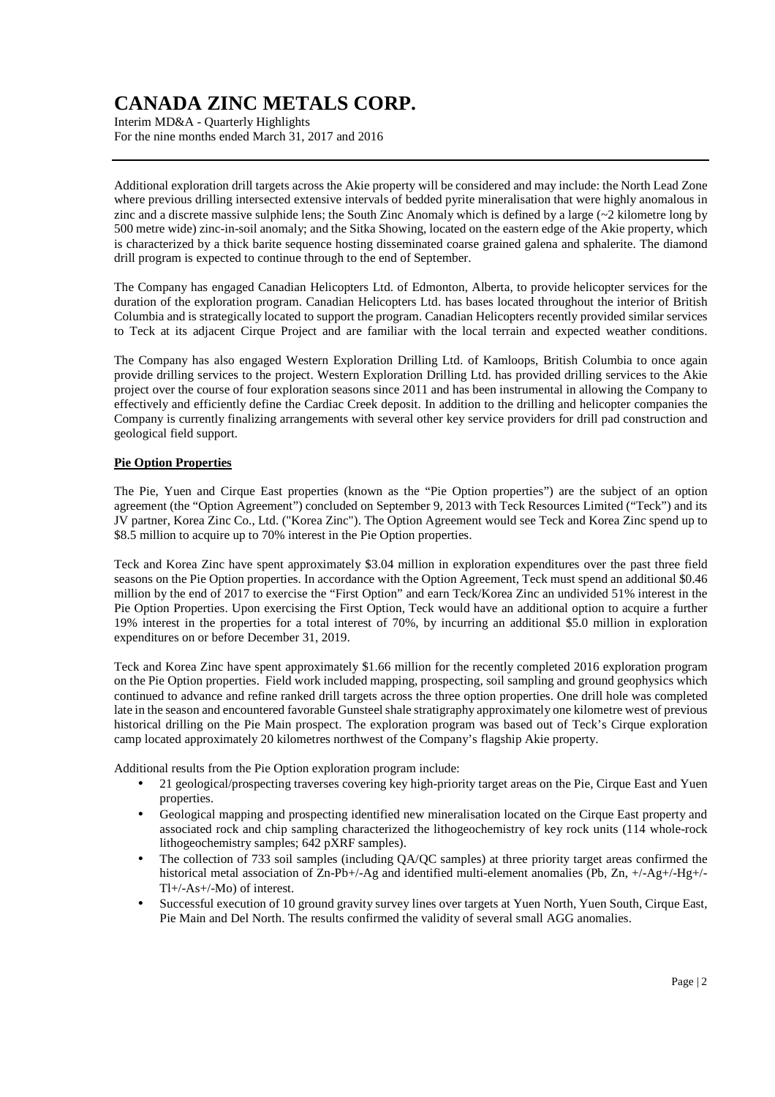Interim MD&A - Quarterly Highlights For the nine months ended March 31, 2017 and 2016

Additional exploration drill targets across the Akie property will be considered and may include: the North Lead Zone where previous drilling intersected extensive intervals of bedded pyrite mineralisation that were highly anomalous in zinc and a discrete massive sulphide lens; the South Zinc Anomaly which is defined by a large (~2 kilometre long by 500 metre wide) zinc-in-soil anomaly; and the Sitka Showing, located on the eastern edge of the Akie property, which is characterized by a thick barite sequence hosting disseminated coarse grained galena and sphalerite. The diamond drill program is expected to continue through to the end of September.

The Company has engaged Canadian Helicopters Ltd. of Edmonton, Alberta, to provide helicopter services for the duration of the exploration program. Canadian Helicopters Ltd. has bases located throughout the interior of British Columbia and is strategically located to support the program. Canadian Helicopters recently provided similar services to Teck at its adjacent Cirque Project and are familiar with the local terrain and expected weather conditions.

The Company has also engaged Western Exploration Drilling Ltd. of Kamloops, British Columbia to once again provide drilling services to the project. Western Exploration Drilling Ltd. has provided drilling services to the Akie project over the course of four exploration seasons since 2011 and has been instrumental in allowing the Company to effectively and efficiently define the Cardiac Creek deposit. In addition to the drilling and helicopter companies the Company is currently finalizing arrangements with several other key service providers for drill pad construction and geological field support.

### **Pie Option Properties**

The Pie, Yuen and Cirque East properties (known as the "Pie Option properties") are the subject of an option agreement (the "Option Agreement") concluded on September 9, 2013 with Teck Resources Limited ("Teck") and its JV partner, Korea Zinc Co., Ltd. ("Korea Zinc"). The Option Agreement would see Teck and Korea Zinc spend up to \$8.5 million to acquire up to 70% interest in the Pie Option properties.

Teck and Korea Zinc have spent approximately \$3.04 million in exploration expenditures over the past three field seasons on the Pie Option properties. In accordance with the Option Agreement, Teck must spend an additional \$0.46 million by the end of 2017 to exercise the "First Option" and earn Teck/Korea Zinc an undivided 51% interest in the Pie Option Properties. Upon exercising the First Option, Teck would have an additional option to acquire a further 19% interest in the properties for a total interest of 70%, by incurring an additional \$5.0 million in exploration expenditures on or before December 31, 2019.

Teck and Korea Zinc have spent approximately \$1.66 million for the recently completed 2016 exploration program on the Pie Option properties. Field work included mapping, prospecting, soil sampling and ground geophysics which continued to advance and refine ranked drill targets across the three option properties. One drill hole was completed late in the season and encountered favorable Gunsteel shale stratigraphy approximately one kilometre west of previous historical drilling on the Pie Main prospect. The exploration program was based out of Teck's Cirque exploration camp located approximately 20 kilometres northwest of the Company's flagship Akie property.

Additional results from the Pie Option exploration program include:

- 21 geological/prospecting traverses covering key high-priority target areas on the Pie, Cirque East and Yuen properties.
- Geological mapping and prospecting identified new mineralisation located on the Cirque East property and associated rock and chip sampling characterized the lithogeochemistry of key rock units (114 whole-rock lithogeochemistry samples; 642 pXRF samples).
- The collection of 733 soil samples (including QA/QC samples) at three priority target areas confirmed the historical metal association of Zn-Pb+/-Ag and identified multi-element anomalies (Pb, Zn, +/-Ag+/-Hg+/-Tl+/-As+/-Mo) of interest.
- Successful execution of 10 ground gravity survey lines over targets at Yuen North, Yuen South, Cirque East, Pie Main and Del North. The results confirmed the validity of several small AGG anomalies.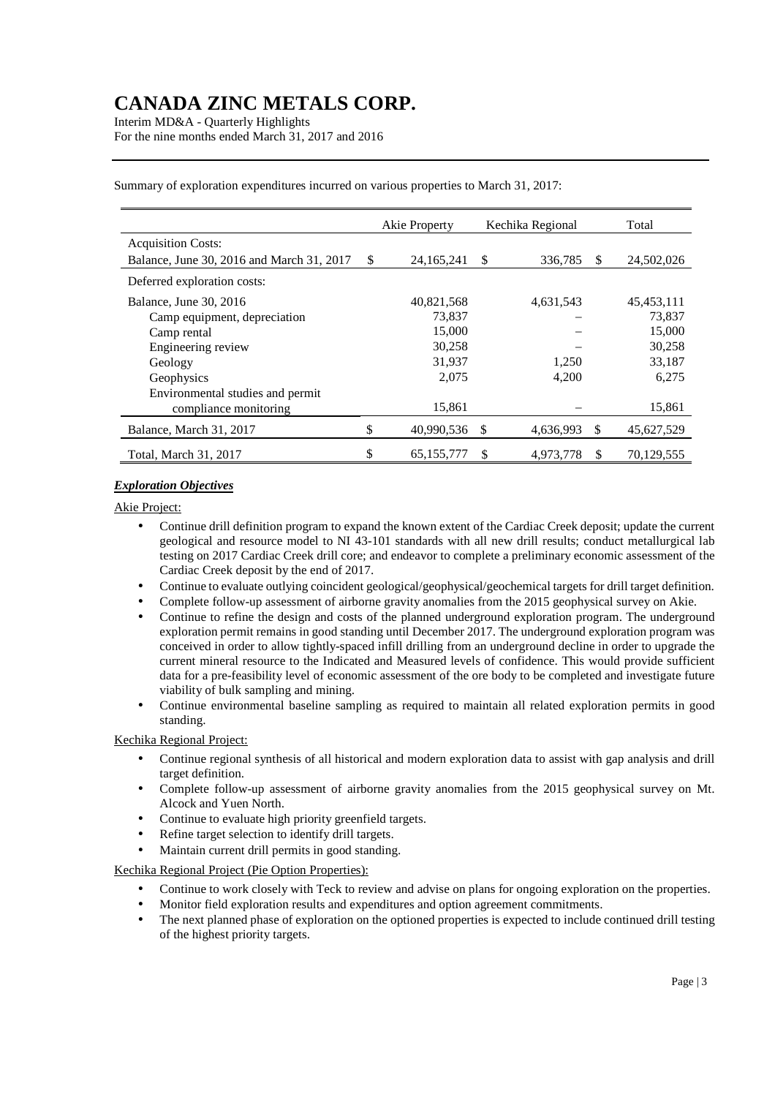Interim MD&A - Quarterly Highlights For the nine months ended March 31, 2017 and 2016

|                                           |               | Akie Property |    | Kechika Regional |    | Total        |  |
|-------------------------------------------|---------------|---------------|----|------------------|----|--------------|--|
| <b>Acquisition Costs:</b>                 |               |               |    |                  |    |              |  |
| Balance, June 30, 2016 and March 31, 2017 | <sup>\$</sup> | 24, 165, 241  | \$ | 336,785          | S  | 24,502,026   |  |
| Deferred exploration costs:               |               |               |    |                  |    |              |  |
| Balance, June 30, 2016                    |               | 40.821.568    |    | 4,631,543        |    | 45, 453, 111 |  |
| Camp equipment, depreciation              |               | 73,837        |    |                  |    | 73,837       |  |
| Camp rental                               |               | 15,000        |    |                  |    | 15,000       |  |
| Engineering review                        |               | 30,258        |    |                  |    | 30,258       |  |
| Geology                                   |               | 31,937        |    | 1,250            |    | 33,187       |  |
| Geophysics                                |               | 2,075         |    | 4,200            |    | 6,275        |  |
| Environmental studies and permit          |               |               |    |                  |    |              |  |
| compliance monitoring                     |               | 15,861        |    |                  |    | 15,861       |  |
| Balance, March 31, 2017                   | \$            | 40,990,536 \$ |    | 4,636,993        | \$ | 45,627,529   |  |
| Total, March 31, 2017                     | \$            | 65, 155, 777  | \$ | 4,973,778        | \$ | 70,129,555   |  |

Summary of exploration expenditures incurred on various properties to March 31, 2017:

### *Exploration Objectives*

Akie Project:

- Continue drill definition program to expand the known extent of the Cardiac Creek deposit; update the current geological and resource model to NI 43-101 standards with all new drill results; conduct metallurgical lab testing on 2017 Cardiac Creek drill core; and endeavor to complete a preliminary economic assessment of the Cardiac Creek deposit by the end of 2017.
- Continue to evaluate outlying coincident geological/geophysical/geochemical targets for drill target definition.
- Complete follow-up assessment of airborne gravity anomalies from the 2015 geophysical survey on Akie.
- Continue to refine the design and costs of the planned underground exploration program. The underground exploration permit remains in good standing until December 2017. The underground exploration program was conceived in order to allow tightly-spaced infill drilling from an underground decline in order to upgrade the current mineral resource to the Indicated and Measured levels of confidence. This would provide sufficient data for a pre-feasibility level of economic assessment of the ore body to be completed and investigate future viability of bulk sampling and mining.
- Continue environmental baseline sampling as required to maintain all related exploration permits in good standing.

### Kechika Regional Project:

- Continue regional synthesis of all historical and modern exploration data to assist with gap analysis and drill target definition.
- Complete follow-up assessment of airborne gravity anomalies from the 2015 geophysical survey on Mt. Alcock and Yuen North.
- Continue to evaluate high priority greenfield targets.
- Refine target selection to identify drill targets.
- Maintain current drill permits in good standing.

Kechika Regional Project (Pie Option Properties):

- Continue to work closely with Teck to review and advise on plans for ongoing exploration on the properties.
- Monitor field exploration results and expenditures and option agreement commitments.
- The next planned phase of exploration on the optioned properties is expected to include continued drill testing of the highest priority targets.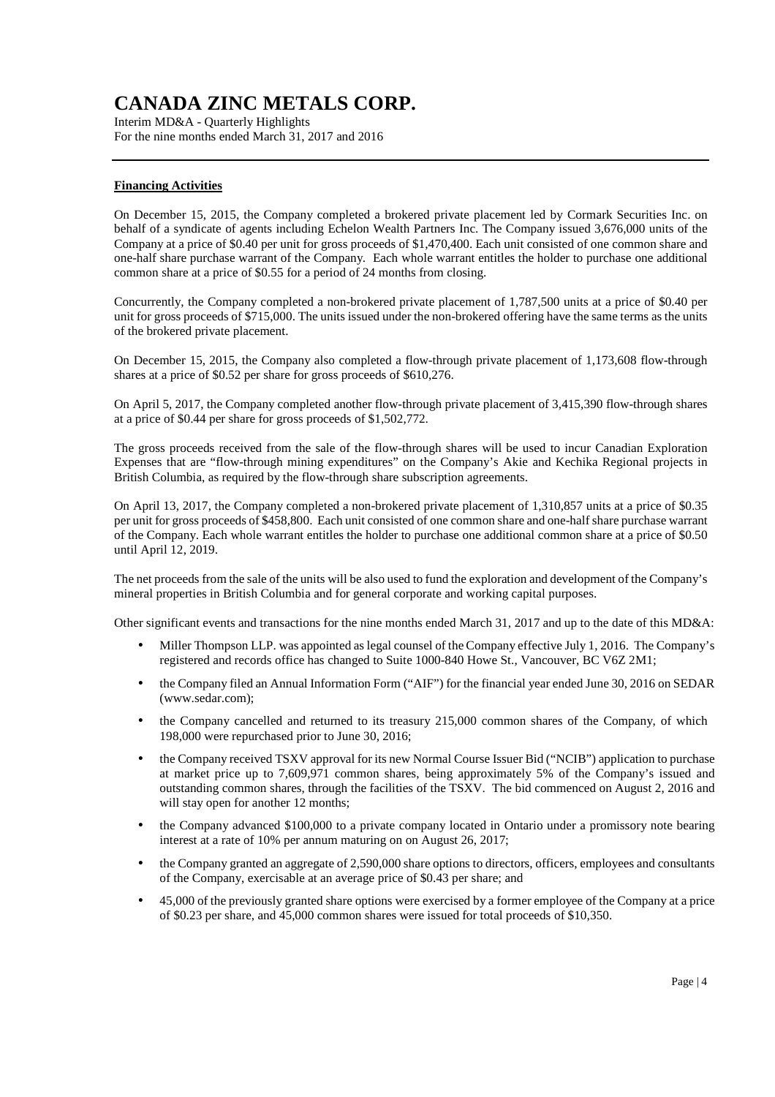Interim MD&A - Quarterly Highlights For the nine months ended March 31, 2017 and 2016

### **Financing Activities**

On December 15, 2015, the Company completed a brokered private placement led by Cormark Securities Inc. on behalf of a syndicate of agents including Echelon Wealth Partners Inc. The Company issued 3,676,000 units of the Company at a price of \$0.40 per unit for gross proceeds of \$1,470,400. Each unit consisted of one common share and one-half share purchase warrant of the Company. Each whole warrant entitles the holder to purchase one additional common share at a price of \$0.55 for a period of 24 months from closing.

Concurrently, the Company completed a non-brokered private placement of 1,787,500 units at a price of \$0.40 per unit for gross proceeds of \$715,000. The units issued under the non-brokered offering have the same terms as the units of the brokered private placement.

On December 15, 2015, the Company also completed a flow-through private placement of 1,173,608 flow-through shares at a price of \$0.52 per share for gross proceeds of \$610,276.

On April 5, 2017, the Company completed another flow-through private placement of 3,415,390 flow-through shares at a price of \$0.44 per share for gross proceeds of \$1,502,772.

The gross proceeds received from the sale of the flow-through shares will be used to incur Canadian Exploration Expenses that are "flow-through mining expenditures" on the Company's Akie and Kechika Regional projects in British Columbia, as required by the flow-through share subscription agreements.

On April 13, 2017, the Company completed a non-brokered private placement of 1,310,857 units at a price of \$0.35 per unit for gross proceeds of \$458,800. Each unit consisted of one common share and one-half share purchase warrant of the Company. Each whole warrant entitles the holder to purchase one additional common share at a price of \$0.50 until April 12, 2019.

The net proceeds from the sale of the units will be also used to fund the exploration and development of the Company's mineral properties in British Columbia and for general corporate and working capital purposes.

Other significant events and transactions for the nine months ended March 31, 2017 and up to the date of this MD&A:

- Miller Thompson LLP. was appointed as legal counsel of the Company effective July 1, 2016. The Company's registered and records office has changed to Suite 1000-840 Howe St., Vancouver, BC V6Z 2M1;
- the Company filed an Annual Information Form ("AIF") for the financial year ended June 30, 2016 on SEDAR (www.sedar.com);
- the Company cancelled and returned to its treasury 215,000 common shares of the Company, of which 198,000 were repurchased prior to June 30, 2016;
- the Company received TSXV approval for its new Normal Course Issuer Bid ("NCIB") application to purchase at market price up to 7,609,971 common shares, being approximately 5% of the Company's issued and outstanding common shares, through the facilities of the TSXV. The bid commenced on August 2, 2016 and will stay open for another 12 months;
- the Company advanced \$100,000 to a private company located in Ontario under a promissory note bearing interest at a rate of 10% per annum maturing on on August 26, 2017;
- the Company granted an aggregate of 2,590,000 share options to directors, officers, employees and consultants of the Company, exercisable at an average price of \$0.43 per share; and
- 45,000 of the previously granted share options were exercised by a former employee of the Company at a price of \$0.23 per share, and 45,000 common shares were issued for total proceeds of \$10,350.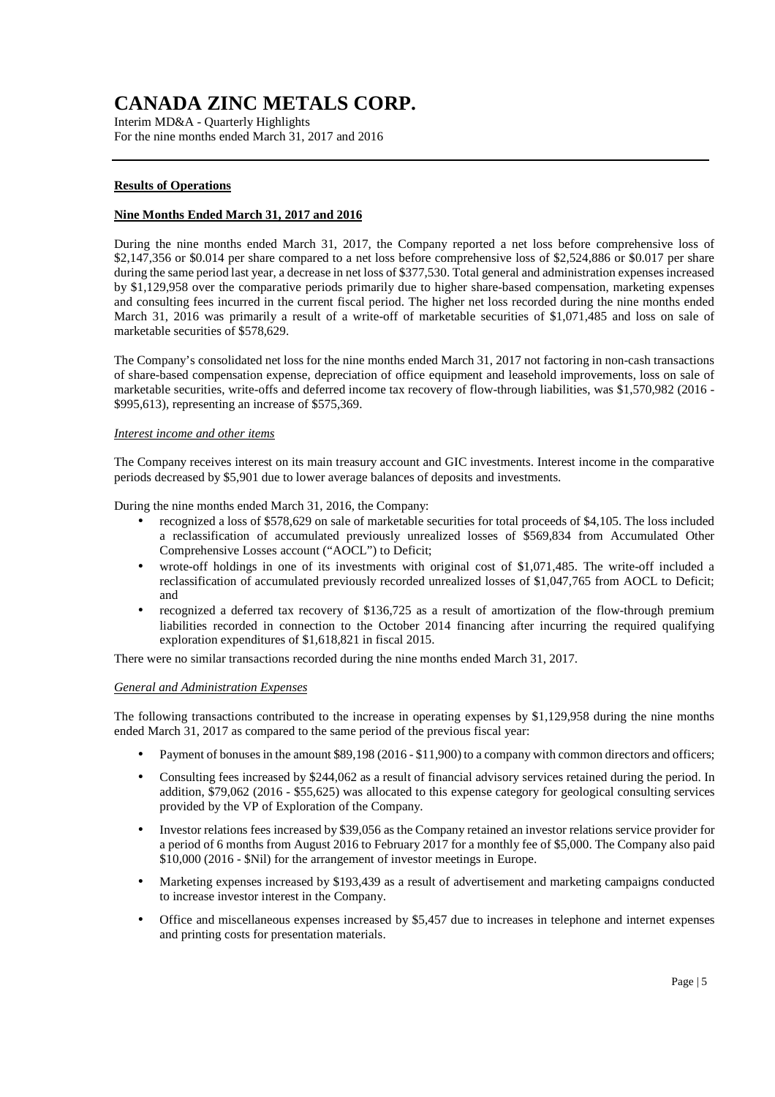Interim MD&A - Quarterly Highlights For the nine months ended March 31, 2017 and 2016

### **Results of Operations**

### **Nine Months Ended March 31, 2017 and 2016**

During the nine months ended March 31, 2017, the Company reported a net loss before comprehensive loss of \$2,147,356 or \$0.014 per share compared to a net loss before comprehensive loss of \$2,524,886 or \$0.017 per share during the same period last year, a decrease in net loss of \$377,530. Total general and administration expenses increased by \$1,129,958 over the comparative periods primarily due to higher share-based compensation, marketing expenses and consulting fees incurred in the current fiscal period. The higher net loss recorded during the nine months ended March 31, 2016 was primarily a result of a write-off of marketable securities of \$1,071,485 and loss on sale of marketable securities of \$578,629.

The Company's consolidated net loss for the nine months ended March 31, 2017 not factoring in non-cash transactions of share-based compensation expense, depreciation of office equipment and leasehold improvements, loss on sale of marketable securities, write-offs and deferred income tax recovery of flow-through liabilities, was \$1,570,982 (2016 - \$995,613), representing an increase of \$575,369.

#### *Interest income and other items*

The Company receives interest on its main treasury account and GIC investments. Interest income in the comparative periods decreased by \$5,901 due to lower average balances of deposits and investments.

During the nine months ended March 31, 2016, the Company:

- recognized a loss of \$578,629 on sale of marketable securities for total proceeds of \$4,105. The loss included a reclassification of accumulated previously unrealized losses of \$569,834 from Accumulated Other Comprehensive Losses account ("AOCL") to Deficit;
- wrote-off holdings in one of its investments with original cost of \$1,071,485. The write-off included a reclassification of accumulated previously recorded unrealized losses of \$1,047,765 from AOCL to Deficit; and
- recognized a deferred tax recovery of \$136,725 as a result of amortization of the flow-through premium liabilities recorded in connection to the October 2014 financing after incurring the required qualifying exploration expenditures of \$1,618,821 in fiscal 2015.

There were no similar transactions recorded during the nine months ended March 31, 2017.

#### *General and Administration Expenses*

The following transactions contributed to the increase in operating expenses by \$1,129,958 during the nine months ended March 31, 2017 as compared to the same period of the previous fiscal year:

- Payment of bonuses in the amount \$89,198 (2016 \$11,900) to a company with common directors and officers;
- Consulting fees increased by \$244,062 as a result of financial advisory services retained during the period. In addition, \$79,062 (2016 - \$55,625) was allocated to this expense category for geological consulting services provided by the VP of Exploration of the Company.
- Investor relations fees increased by \$39,056 as the Company retained an investor relations service provider for a period of 6 months from August 2016 to February 2017 for a monthly fee of \$5,000. The Company also paid \$10,000 (2016 - \$Nil) for the arrangement of investor meetings in Europe.
- Marketing expenses increased by \$193,439 as a result of advertisement and marketing campaigns conducted to increase investor interest in the Company.
- Office and miscellaneous expenses increased by \$5,457 due to increases in telephone and internet expenses and printing costs for presentation materials.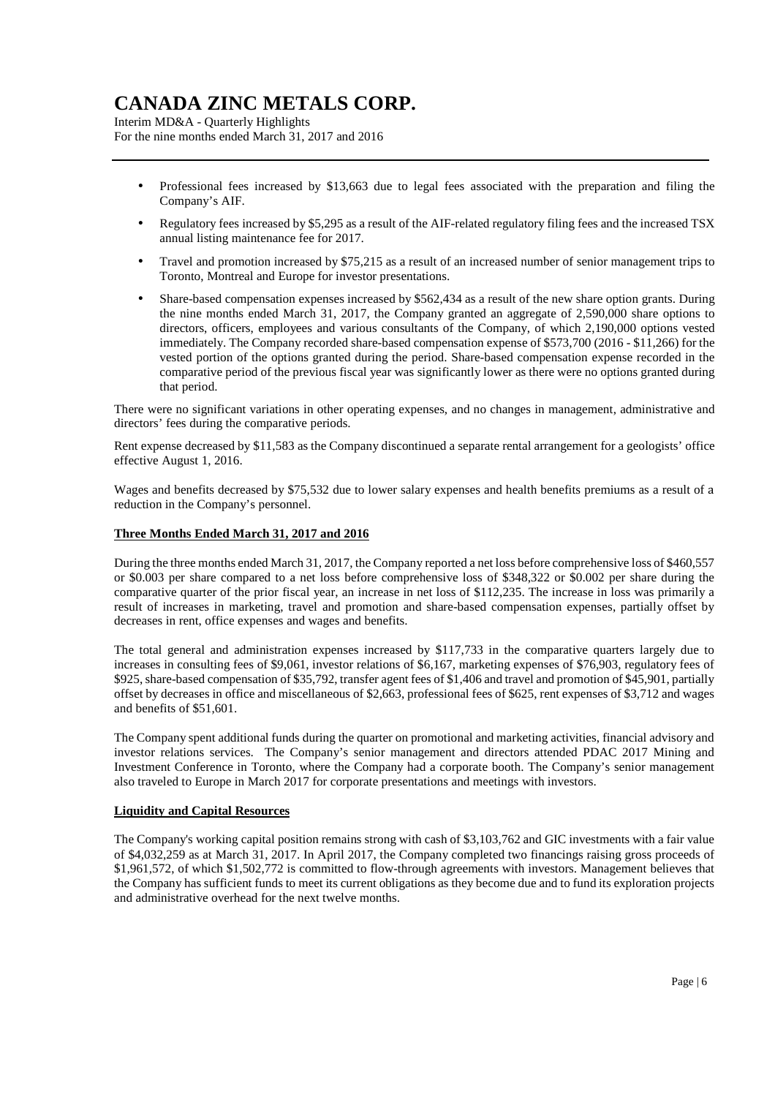Interim MD&A - Quarterly Highlights For the nine months ended March 31, 2017 and 2016

- Professional fees increased by \$13,663 due to legal fees associated with the preparation and filing the Company's AIF.
- Regulatory fees increased by \$5,295 as a result of the AIF-related regulatory filing fees and the increased TSX annual listing maintenance fee for 2017.
- Travel and promotion increased by \$75,215 as a result of an increased number of senior management trips to Toronto, Montreal and Europe for investor presentations.
- Share-based compensation expenses increased by \$562,434 as a result of the new share option grants. During the nine months ended March 31, 2017, the Company granted an aggregate of 2,590,000 share options to directors, officers, employees and various consultants of the Company, of which 2,190,000 options vested immediately. The Company recorded share-based compensation expense of \$573,700 (2016 - \$11,266) for the vested portion of the options granted during the period. Share-based compensation expense recorded in the comparative period of the previous fiscal year was significantly lower as there were no options granted during that period.

There were no significant variations in other operating expenses, and no changes in management, administrative and directors' fees during the comparative periods.

Rent expense decreased by \$11,583 as the Company discontinued a separate rental arrangement for a geologists' office effective August 1, 2016.

Wages and benefits decreased by \$75,532 due to lower salary expenses and health benefits premiums as a result of a reduction in the Company's personnel.

### **Three Months Ended March 31, 2017 and 2016**

During the three months ended March 31, 2017, the Company reported a net loss before comprehensive loss of \$460,557 or \$0.003 per share compared to a net loss before comprehensive loss of \$348,322 or \$0.002 per share during the comparative quarter of the prior fiscal year, an increase in net loss of \$112,235. The increase in loss was primarily a result of increases in marketing, travel and promotion and share-based compensation expenses, partially offset by decreases in rent, office expenses and wages and benefits.

The total general and administration expenses increased by \$117,733 in the comparative quarters largely due to increases in consulting fees of \$9,061, investor relations of \$6,167, marketing expenses of \$76,903, regulatory fees of \$925, share-based compensation of \$35,792, transfer agent fees of \$1,406 and travel and promotion of \$45,901, partially offset by decreases in office and miscellaneous of \$2,663, professional fees of \$625, rent expenses of \$3,712 and wages and benefits of \$51,601.

The Company spent additional funds during the quarter on promotional and marketing activities, financial advisory and investor relations services. The Company's senior management and directors attended PDAC 2017 Mining and Investment Conference in Toronto, where the Company had a corporate booth. The Company's senior management also traveled to Europe in March 2017 for corporate presentations and meetings with investors.

### **Liquidity and Capital Resources**

The Company's working capital position remains strong with cash of \$3,103,762 and GIC investments with a fair value of \$4,032,259 as at March 31, 2017. In April 2017, the Company completed two financings raising gross proceeds of \$1,961,572, of which \$1,502,772 is committed to flow-through agreements with investors. Management believes that the Company has sufficient funds to meet its current obligations as they become due and to fund its exploration projects and administrative overhead for the next twelve months.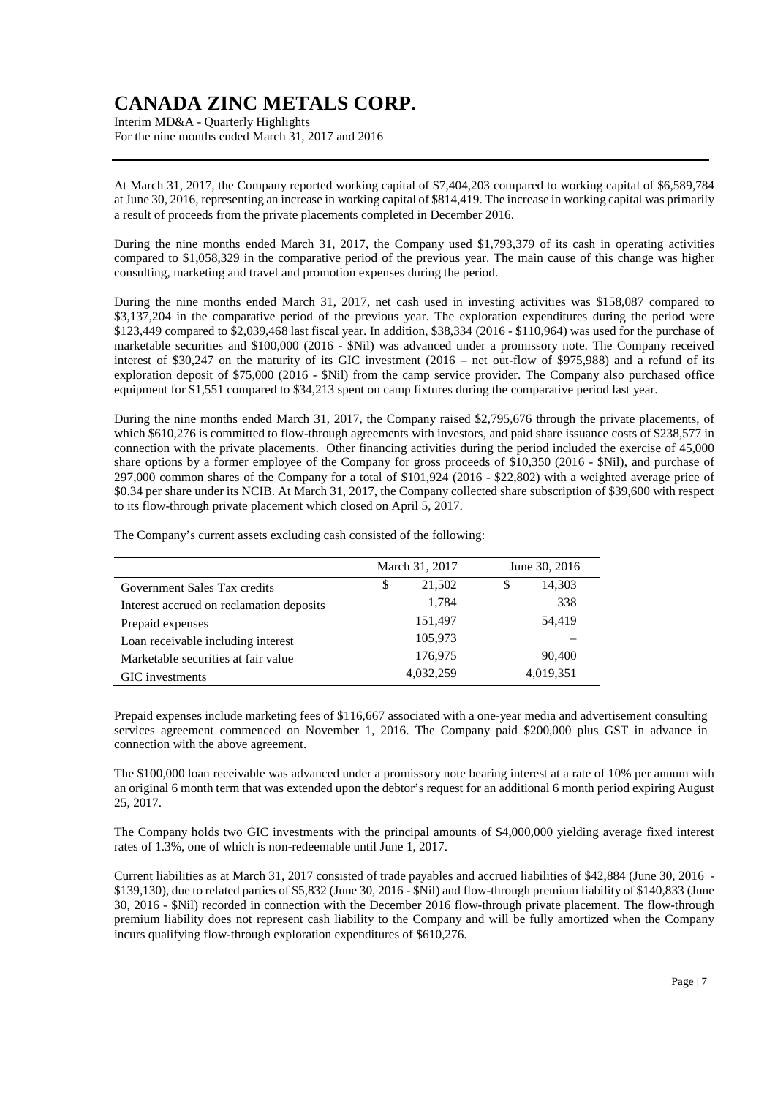Interim MD&A - Quarterly Highlights For the nine months ended March 31, 2017 and 2016

At March 31, 2017, the Company reported working capital of \$7,404,203 compared to working capital of \$6,589,784 at June 30, 2016, representing an increase in working capital of \$814,419. The increase in working capital was primarily a result of proceeds from the private placements completed in December 2016.

During the nine months ended March 31, 2017, the Company used \$1,793,379 of its cash in operating activities compared to \$1,058,329 in the comparative period of the previous year. The main cause of this change was higher consulting, marketing and travel and promotion expenses during the period.

During the nine months ended March 31, 2017, net cash used in investing activities was \$158,087 compared to \$3,137,204 in the comparative period of the previous year. The exploration expenditures during the period were \$123,449 compared to \$2,039,468 last fiscal year. In addition, \$38,334 (2016 - \$110,964) was used for the purchase of marketable securities and \$100,000 (2016 - \$Nil) was advanced under a promissory note. The Company received interest of \$30,247 on the maturity of its GIC investment (2016 – net out-flow of \$975,988) and a refund of its exploration deposit of \$75,000 (2016 - \$Nil) from the camp service provider. The Company also purchased office equipment for \$1,551 compared to \$34,213 spent on camp fixtures during the comparative period last year.

During the nine months ended March 31, 2017, the Company raised \$2,795,676 through the private placements, of which \$610,276 is committed to flow-through agreements with investors, and paid share issuance costs of \$238,577 in connection with the private placements. Other financing activities during the period included the exercise of 45,000 share options by a former employee of the Company for gross proceeds of \$10,350 (2016 - \$Nil), and purchase of 297,000 common shares of the Company for a total of \$101,924 (2016 - \$22,802) with a weighted average price of \$0.34 per share under its NCIB. At March 31, 2017, the Company collected share subscription of \$39,600 with respect to its flow-through private placement which closed on April 5, 2017.

The Company's current assets excluding cash consisted of the following:

|                                          | March 31, 2017 | June 30, 2016 |  |
|------------------------------------------|----------------|---------------|--|
| Government Sales Tax credits             | 21,502<br>\$   | 14,303<br>\$  |  |
| Interest accrued on reclamation deposits | 1,784          | 338           |  |
| Prepaid expenses                         | 151,497        | 54,419        |  |
| Loan receivable including interest       | 105,973        |               |  |
| Marketable securities at fair value      | 176,975        | 90,400        |  |
| GIC investments                          | 4,032,259      | 4,019,351     |  |

Prepaid expenses include marketing fees of \$116,667 associated with a one-year media and advertisement consulting services agreement commenced on November 1, 2016. The Company paid \$200,000 plus GST in advance in connection with the above agreement.

The \$100,000 loan receivable was advanced under a promissory note bearing interest at a rate of 10% per annum with an original 6 month term that was extended upon the debtor's request for an additional 6 month period expiring August 25, 2017.

The Company holds two GIC investments with the principal amounts of \$4,000,000 yielding average fixed interest rates of 1.3%, one of which is non-redeemable until June 1, 2017.

Current liabilities as at March 31, 2017 consisted of trade payables and accrued liabilities of \$42,884 (June 30, 2016 - \$139,130), due to related parties of \$5,832 (June 30, 2016 - \$Nil) and flow-through premium liability of \$140,833 (June 30, 2016 - \$Nil) recorded in connection with the December 2016 flow-through private placement. The flow-through premium liability does not represent cash liability to the Company and will be fully amortized when the Company incurs qualifying flow-through exploration expenditures of \$610,276.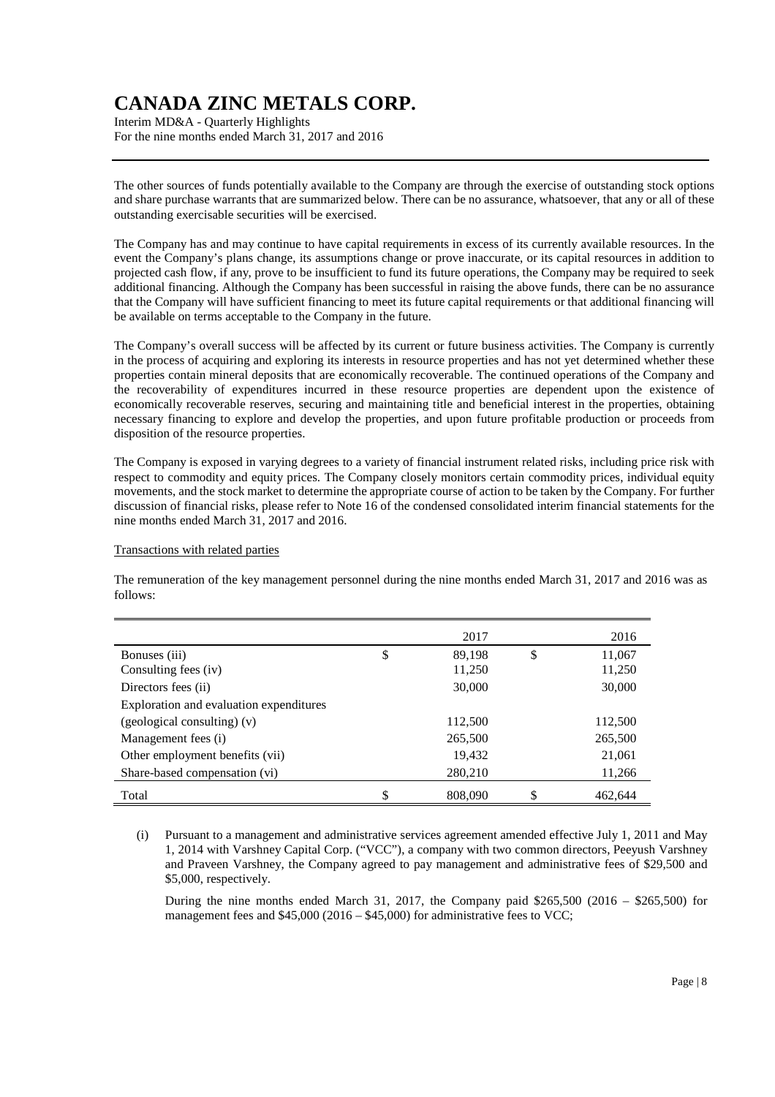Interim MD&A - Quarterly Highlights For the nine months ended March 31, 2017 and 2016

The other sources of funds potentially available to the Company are through the exercise of outstanding stock options and share purchase warrants that are summarized below. There can be no assurance, whatsoever, that any or all of these outstanding exercisable securities will be exercised.

The Company has and may continue to have capital requirements in excess of its currently available resources. In the event the Company's plans change, its assumptions change or prove inaccurate, or its capital resources in addition to projected cash flow, if any, prove to be insufficient to fund its future operations, the Company may be required to seek additional financing. Although the Company has been successful in raising the above funds, there can be no assurance that the Company will have sufficient financing to meet its future capital requirements or that additional financing will be available on terms acceptable to the Company in the future.

The Company's overall success will be affected by its current or future business activities. The Company is currently in the process of acquiring and exploring its interests in resource properties and has not yet determined whether these properties contain mineral deposits that are economically recoverable. The continued operations of the Company and the recoverability of expenditures incurred in these resource properties are dependent upon the existence of economically recoverable reserves, securing and maintaining title and beneficial interest in the properties, obtaining necessary financing to explore and develop the properties, and upon future profitable production or proceeds from disposition of the resource properties.

The Company is exposed in varying degrees to a variety of financial instrument related risks, including price risk with respect to commodity and equity prices. The Company closely monitors certain commodity prices, individual equity movements, and the stock market to determine the appropriate course of action to be taken by the Company. For further discussion of financial risks, please refer to Note 16 of the condensed consolidated interim financial statements for the nine months ended March 31, 2017 and 2016.

#### Transactions with related parties

The remuneration of the key management personnel during the nine months ended March 31, 2017 and 2016 was as follows:

|                                         | 2017          | 2016          |
|-----------------------------------------|---------------|---------------|
| Bonuses (iii)                           | \$<br>89.198  | \$<br>11,067  |
| Consulting fees (iv)                    | 11,250        | 11,250        |
| Directors fees (ii)                     | 30,000        | 30,000        |
| Exploration and evaluation expenditures |               |               |
| (geological consulting) (v)             | 112,500       | 112,500       |
| Management fees (i)                     | 265,500       | 265,500       |
| Other employment benefits (vii)         | 19,432        | 21,061        |
| Share-based compensation (vi)           | 280,210       | 11,266        |
| Total                                   | \$<br>808,090 | \$<br>462.644 |

<sup>(</sup>i) Pursuant to a management and administrative services agreement amended effective July 1, 2011 and May 1, 2014 with Varshney Capital Corp. ("VCC"), a company with two common directors, Peeyush Varshney and Praveen Varshney, the Company agreed to pay management and administrative fees of \$29,500 and \$5,000, respectively.

During the nine months ended March 31, 2017, the Company paid \$265,500 (2016 – \$265,500) for management fees and \$45,000 (2016 – \$45,000) for administrative fees to VCC;